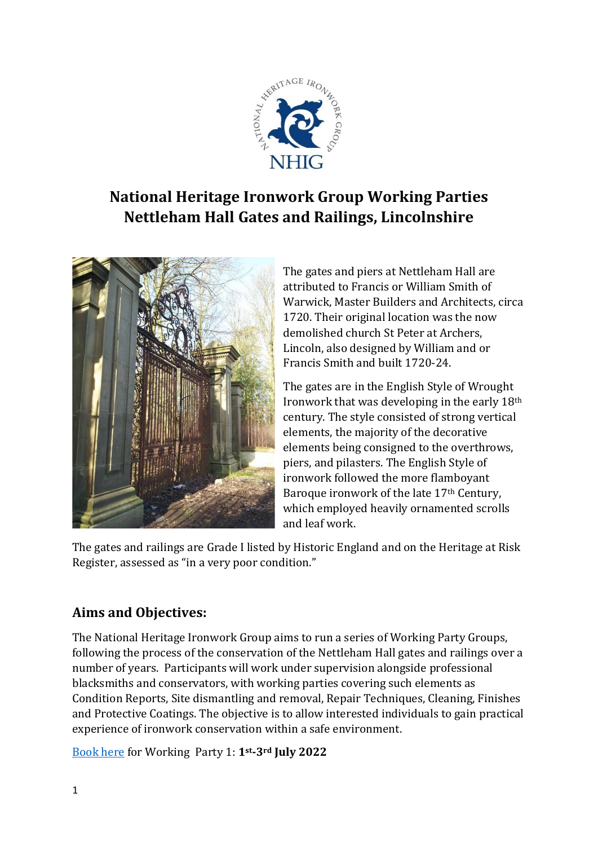

# **National Heritage Ironwork Group Working Parties Nettleham Hall Gates and Railings, Lincolnshire**



The gates and piers at Nettleham Hall are attributed to Francis or William Smith of Warwick, Master Builders and Architects, circa 1720. Their original location was the now demolished church St Peter at Archers, Lincoln, also designed by William and or Francis Smith and built 1720-24.

The gates are in the English Style of Wrought Ironwork that was developing in the early 18th century. The style consisted of strong vertical elements, the majority of the decorative elements being consigned to the overthrows, piers, and pilasters. The English Style of ironwork followed the more flamboyant Baroque ironwork of the late 17th Century, which employed heavily ornamented scrolls and leaf work.

The gates and railings are Grade I listed by Historic England and on the Heritage at Risk Register, assessed as "in a very poor condition."

# **Aims and Objectives:**

The National Heritage Ironwork Group aims to run a series of Working Party Groups, following the process of the conservation of the Nettleham Hall gates and railings over a number of years. Participants will work under supervision alongside professional blacksmiths and conservators, with working parties covering such elements as Condition Reports, Site dismantling and removal, Repair Techniques, Cleaning, Finishes and Protective Coatings. The objective is to allow interested individuals to gain practical experience of ironwork conservation within a safe environment.

[Book here](https://nhig.org.uk/events/event/nhig-working-party/) for Working Party 1: **1st-3rd July 2022**